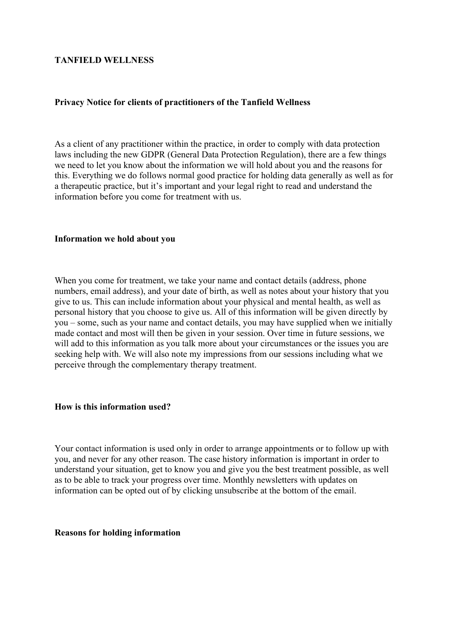# **TANFIELD WELLNESS**

# **Privacy Notice for clients of practitioners of the Tanfield Wellness**

As a client of any practitioner within the practice, in order to comply with data protection laws including the new GDPR (General Data Protection Regulation), there are a few things we need to let you know about the information we will hold about you and the reasons for this. Everything we do follows normal good practice for holding data generally as well as for a therapeutic practice, but it's important and your legal right to read and understand the information before you come for treatment with us.

### **Information we hold about you**

When you come for treatment, we take your name and contact details (address, phone numbers, email address), and your date of birth, as well as notes about your history that you give to us. This can include information about your physical and mental health, as well as personal history that you choose to give us. All of this information will be given directly by you – some, such as your name and contact details, you may have supplied when we initially made contact and most will then be given in your session. Over time in future sessions, we will add to this information as you talk more about your circumstances or the issues you are seeking help with. We will also note my impressions from our sessions including what we perceive through the complementary therapy treatment.

#### **How is this information used?**

Your contact information is used only in order to arrange appointments or to follow up with you, and never for any other reason. The case history information is important in order to understand your situation, get to know you and give you the best treatment possible, as well as to be able to track your progress over time. Monthly newsletters with updates on information can be opted out of by clicking unsubscribe at the bottom of the email.

#### **Reasons for holding information**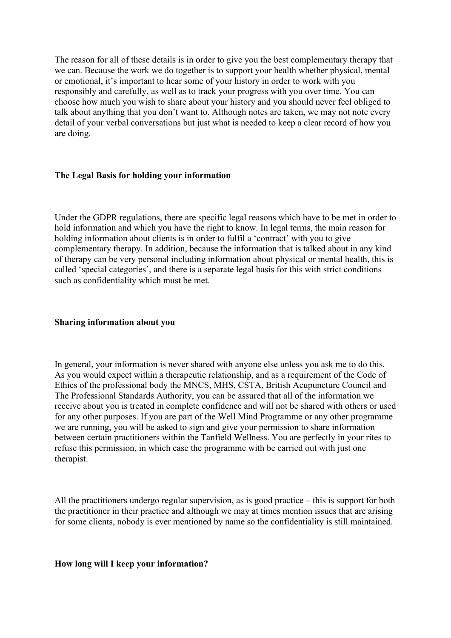The reason for all of these details is in order to give you the best complementary therapy that we can. Because the work we do together is to support your health whether physical, mental or emotional, it's important to hear some of your history in order to work with you responsibly and carefully, as well as to track your progress with you over time. You can choose how much you wish to share about your history and you should never feel obliged to talk about anything that you don't want to. Although notes are taken, we may not note every detail of your verbal conversations but just what is needed to keep a clear record of how you are doing.

# **The Legal Basis for holding your information**

Under the GDPR regulations, there are specific legal reasons which have to be met in order to hold information and which you have the right to know. In legal terms, the main reason for holding information about clients is in order to fulfil a 'contract' with you to give complementary therapy. In addition, because the information that is talked about in any kind of therapy can be very personal including information about physical or mental health, this is called 'special categories', and there is a separate legal basis for this with strict conditions such as confidentiality which must be met.

#### **Sharing information about you**

In general, your information is never shared with anyone else unless you ask me to do this. As you would expect within a therapeutic relationship, and as a requirement of the Code of Ethics of the professional body the MNCS, MHS, CSTA, British Acupuncture Council and The Professional Standards Authority, you can be assured that all of the information we receive about you is treated in complete confidence and will not be shared with others or used for any other purposes. If you are part of the Well Mind Programme or any other programme we are running, you will be asked to sign and give your permission to share information between certain practitioners within the Tanfield Wellness. You are perfectly in your rites to refuse this permission, in which case the programme with be carried out with just one therapist.

All the practitioners undergo regular supervision, as is good practice – this is support for both the practitioner in their practice and although we may at times mention issues that are arising for some clients, nobody is ever mentioned by name so the confidentiality is still maintained.

#### **How long will I keep your information?**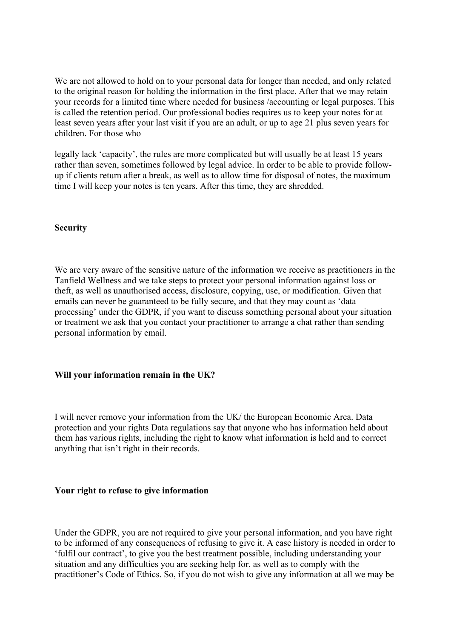We are not allowed to hold on to your personal data for longer than needed, and only related to the original reason for holding the information in the first place. After that we may retain your records for a limited time where needed for business /accounting or legal purposes. This is called the retention period. Our professional bodies requires us to keep your notes for at least seven years after your last visit if you are an adult, or up to age 21 plus seven years for children. For those who

legally lack 'capacity', the rules are more complicated but will usually be at least 15 years rather than seven, sometimes followed by legal advice. In order to be able to provide followup if clients return after a break, as well as to allow time for disposal of notes, the maximum time I will keep your notes is ten years. After this time, they are shredded.

### **Security**

We are very aware of the sensitive nature of the information we receive as practitioners in the Tanfield Wellness and we take steps to protect your personal information against loss or theft, as well as unauthorised access, disclosure, copying, use, or modification. Given that emails can never be guaranteed to be fully secure, and that they may count as 'data processing' under the GDPR, if you want to discuss something personal about your situation or treatment we ask that you contact your practitioner to arrange a chat rather than sending personal information by email.

# **Will your information remain in the UK?**

I will never remove your information from the UK/ the European Economic Area. Data protection and your rights Data regulations say that anyone who has information held about them has various rights, including the right to know what information is held and to correct anything that isn't right in their records.

#### **Your right to refuse to give information**

Under the GDPR, you are not required to give your personal information, and you have right to be informed of any consequences of refusing to give it. A case history is needed in order to 'fulfil our contract', to give you the best treatment possible, including understanding your situation and any difficulties you are seeking help for, as well as to comply with the practitioner's Code of Ethics. So, if you do not wish to give any information at all we may be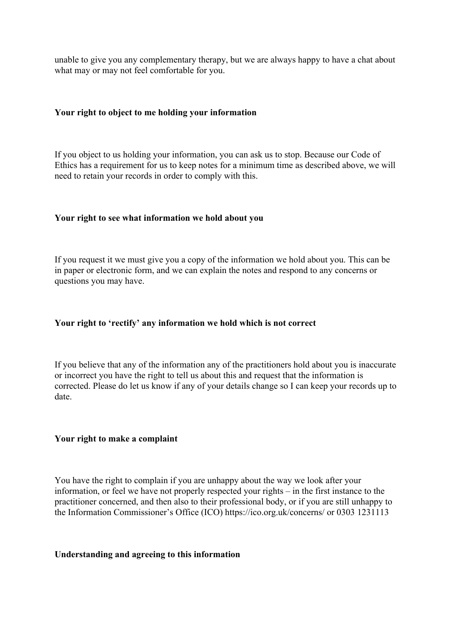unable to give you any complementary therapy, but we are always happy to have a chat about what may or may not feel comfortable for you.

### **Your right to object to me holding your information**

If you object to us holding your information, you can ask us to stop. Because our Code of Ethics has a requirement for us to keep notes for a minimum time as described above, we will need to retain your records in order to comply with this.

### **Your right to see what information we hold about you**

If you request it we must give you a copy of the information we hold about you. This can be in paper or electronic form, and we can explain the notes and respond to any concerns or questions you may have.

### **Your right to 'rectify' any information we hold which is not correct**

If you believe that any of the information any of the practitioners hold about you is inaccurate or incorrect you have the right to tell us about this and request that the information is corrected. Please do let us know if any of your details change so I can keep your records up to date.

#### **Your right to make a complaint**

You have the right to complain if you are unhappy about the way we look after your information, or feel we have not properly respected your rights – in the first instance to the practitioner concerned, and then also to their professional body, or if you are still unhappy to the Information Commissioner's Office (ICO) https://ico.org.uk/concerns/ or 0303 1231113

### **Understanding and agreeing to this information**